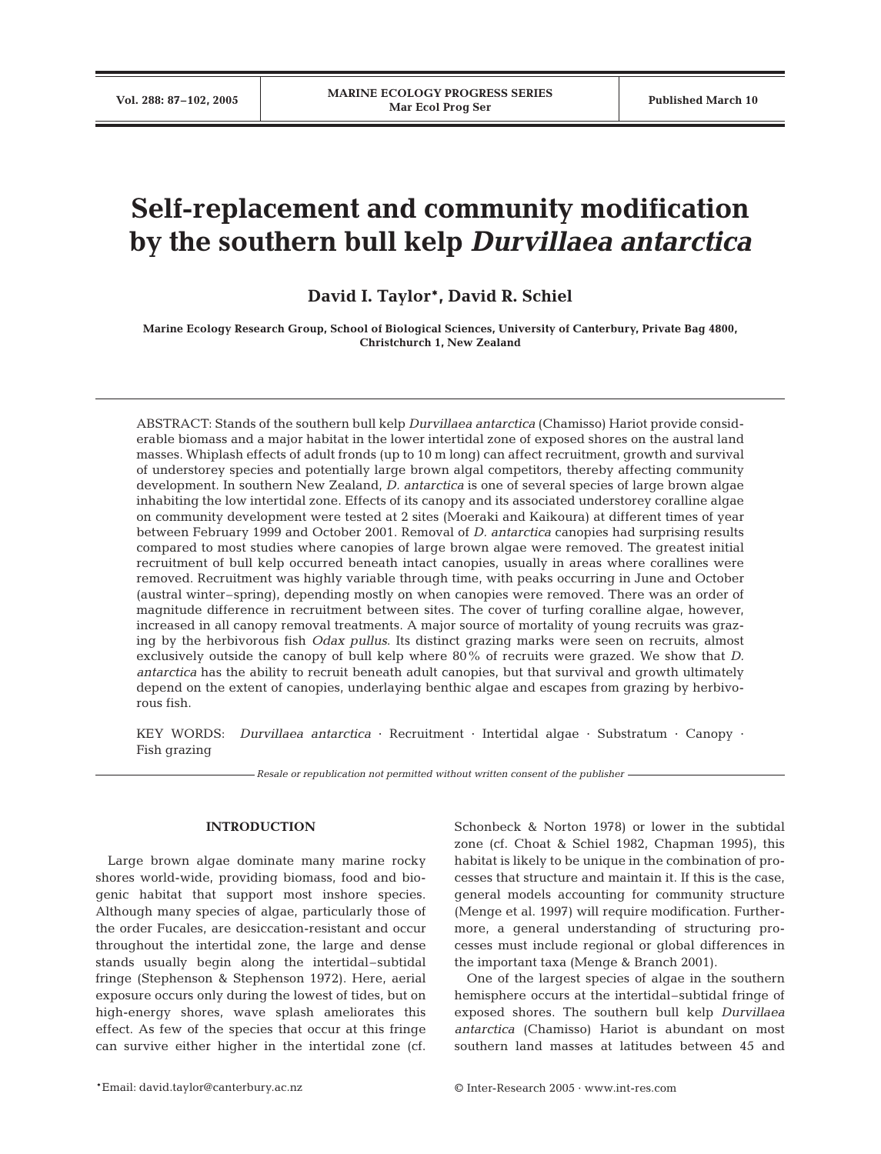# **Self-replacement and community modification by the southern bull kelp** *Durvillaea antarctica*

**David I. Taylor\*, David R. Schiel**

**Marine Ecology Research Group, School of Biological Sciences, University of Canterbury, Private Bag 4800, Christchurch 1, New Zealand**

ABSTRACT: Stands of the southern bull kelp *Durvillaea antarctica* (Chamisso) Hariot provide considerable biomass and a major habitat in the lower intertidal zone of exposed shores on the austral land masses. Whiplash effects of adult fronds (up to 10 m long) can affect recruitment, growth and survival of understorey species and potentially large brown algal competitors, thereby affecting community development. In southern New Zealand, *D. antarctica* is one of several species of large brown algae inhabiting the low intertidal zone. Effects of its canopy and its associated understorey coralline algae on community development were tested at 2 sites (Moeraki and Kaikoura) at different times of year between February 1999 and October 2001. Removal of *D. antarctica* canopies had surprising results compared to most studies where canopies of large brown algae were removed. The greatest initial recruitment of bull kelp occurred beneath intact canopies, usually in areas where corallines were removed. Recruitment was highly variable through time, with peaks occurring in June and October (austral winter–spring), depending mostly on when canopies were removed. There was an order of magnitude difference in recruitment between sites. The cover of turfing coralline algae, however, increased in all canopy removal treatments. A major source of mortality of young recruits was grazing by the herbivorous fish *Odax pullus*. Its distinct grazing marks were seen on recruits, almost exclusively outside the canopy of bull kelp where 80% of recruits were grazed. We show that *D. antarctica* has the ability to recruit beneath adult canopies, but that survival and growth ultimately depend on the extent of canopies, underlaying benthic algae and escapes from grazing by herbivorous fish.

KEY WORDS: *Durvillaea antarctica* · Recruitment · Intertidal algae · Substratum · Canopy · Fish grazing

*Resale or republication not permitted without written consent of the publisher*

## **INTRODUCTION**

Large brown algae dominate many marine rocky shores world-wide, providing biomass, food and biogenic habitat that support most inshore species. Although many species of algae, particularly those of the order Fucales, are desiccation-resistant and occur throughout the intertidal zone, the large and dense stands usually begin along the intertidal–subtidal fringe (Stephenson & Stephenson 1972). Here, aerial exposure occurs only during the lowest of tides, but on high-energy shores, wave splash ameliorates this effect. As few of the species that occur at this fringe can survive either higher in the intertidal zone (cf.

Schonbeck & Norton 1978) or lower in the subtidal zone (cf. Choat & Schiel 1982, Chapman 1995), this habitat is likely to be unique in the combination of processes that structure and maintain it. If this is the case, general models accounting for community structure (Menge et al. 1997) will require modification. Furthermore, a general understanding of structuring processes must include regional or global differences in the important taxa (Menge & Branch 2001).

One of the largest species of algae in the southern hemisphere occurs at the intertidal–subtidal fringe of exposed shores. The southern bull kelp *Durvillaea antarctica* (Chamisso) Hariot is abundant on most southern land masses at latitudes between 45 and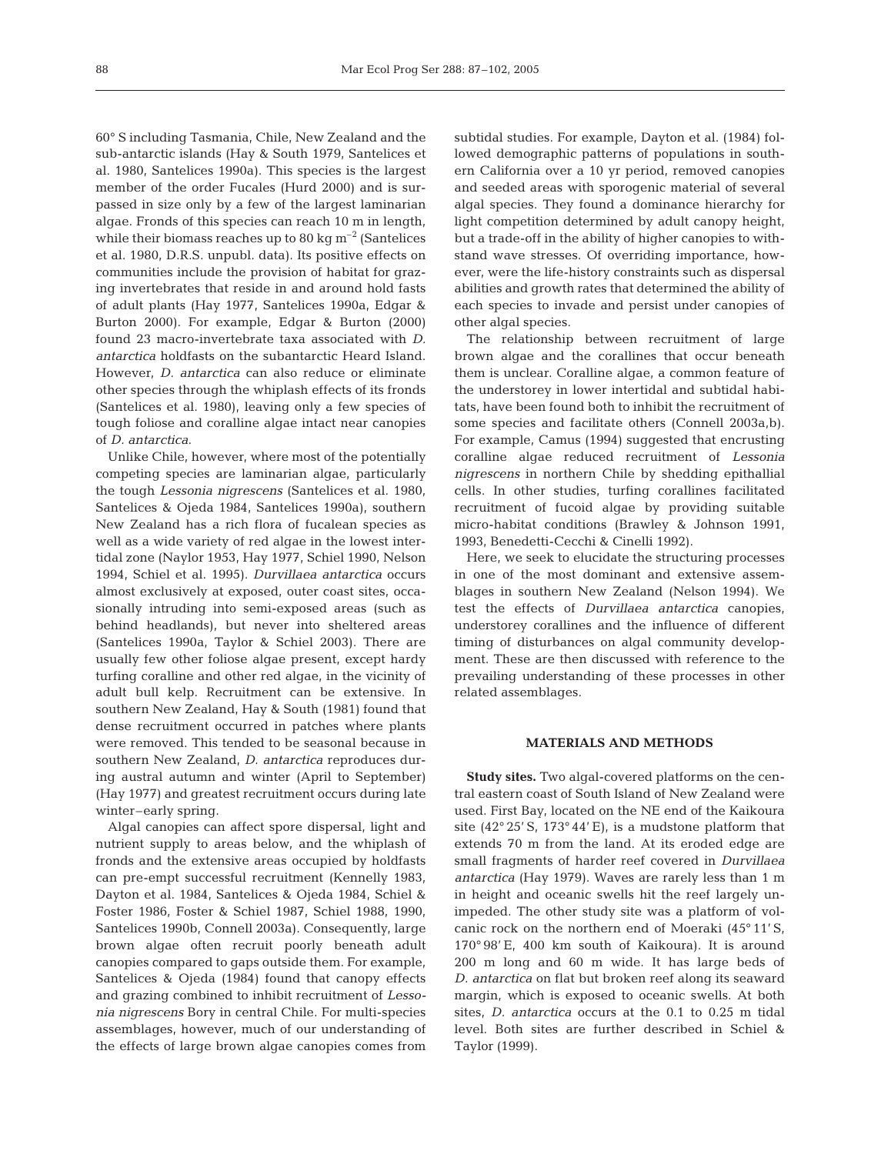60° S including Tasmania, Chile, New Zealand and the sub-antarctic islands (Hay & South 1979, Santelices et al. 1980, Santelices 1990a). This species is the largest member of the order Fucales (Hurd 2000) and is surpassed in size only by a few of the largest laminarian algae. Fronds of this species can reach 10 m in length, while their biomass reaches up to 80 kg  $\mathrm{m}^{-2}$  (Santelices et al. 1980, D.R.S. unpubl. data). Its positive effects on communities include the provision of habitat for grazing invertebrates that reside in and around hold fasts of adult plants (Hay 1977, Santelices 1990a, Edgar & Burton 2000). For example, Edgar & Burton (2000) found 23 macro-invertebrate taxa associated with *D. antarctica* holdfasts on the subantarctic Heard Island. However, *D. antarctica* can also reduce or eliminate other species through the whiplash effects of its fronds (Santelices et al. 1980), leaving only a few species of tough foliose and coralline algae intact near canopies of *D. antarctica*.

Unlike Chile, however, where most of the potentially competing species are laminarian algae, particularly the tough *Lessonia nigrescens* (Santelices et al. 1980, Santelices & Ojeda 1984, Santelices 1990a), southern New Zealand has a rich flora of fucalean species as well as a wide variety of red algae in the lowest intertidal zone (Naylor 1953, Hay 1977, Schiel 1990, Nelson 1994, Schiel et al. 1995). *Durvillaea antarctica* occurs almost exclusively at exposed, outer coast sites, occasionally intruding into semi-exposed areas (such as behind headlands), but never into sheltered areas (Santelices 1990a, Taylor & Schiel 2003). There are usually few other foliose algae present, except hardy turfing coralline and other red algae, in the vicinity of adult bull kelp. Recruitment can be extensive. In southern New Zealand, Hay & South (1981) found that dense recruitment occurred in patches where plants were removed. This tended to be seasonal because in southern New Zealand, *D. antarctica* reproduces during austral autumn and winter (April to September) (Hay 1977) and greatest recruitment occurs during late winter–early spring.

Algal canopies can affect spore dispersal, light and nutrient supply to areas below, and the whiplash of fronds and the extensive areas occupied by holdfasts can pre-empt successful recruitment (Kennelly 1983, Dayton et al. 1984, Santelices & Ojeda 1984, Schiel & Foster 1986, Foster & Schiel 1987, Schiel 1988, 1990, Santelices 1990b, Connell 2003a). Consequently, large brown algae often recruit poorly beneath adult canopies compared to gaps outside them. For example, Santelices & Ojeda (1984) found that canopy effects and grazing combined to inhibit recruitment of *Lessonia nigrescens* Bory in central Chile. For multi-species assemblages, however, much of our understanding of the effects of large brown algae canopies comes from

subtidal studies. For example, Dayton et al. (1984) followed demographic patterns of populations in southern California over a 10 yr period, removed canopies and seeded areas with sporogenic material of several algal species. They found a dominance hierarchy for light competition determined by adult canopy height, but a trade-off in the ability of higher canopies to withstand wave stresses. Of overriding importance, however, were the life-history constraints such as dispersal abilities and growth rates that determined the ability of each species to invade and persist under canopies of other algal species.

The relationship between recruitment of large brown algae and the corallines that occur beneath them is unclear. Coralline algae, a common feature of the understorey in lower intertidal and subtidal habitats, have been found both to inhibit the recruitment of some species and facilitate others (Connell 2003a,b). For example, Camus (1994) suggested that encrusting coralline algae reduced recruitment of *Lessonia nigrescens* in northern Chile by shedding epithallial cells. In other studies, turfing corallines facilitated recruitment of fucoid algae by providing suitable micro-habitat conditions (Brawley & Johnson 1991, 1993, Benedetti-Cecchi & Cinelli 1992).

Here, we seek to elucidate the structuring processes in one of the most dominant and extensive assemblages in southern New Zealand (Nelson 1994). We test the effects of *Durvillaea antarctica* canopies, understorey corallines and the influence of different timing of disturbances on algal community development. These are then discussed with reference to the prevailing understanding of these processes in other related assemblages.

# **MATERIALS AND METHODS**

**Study sites.** Two algal-covered platforms on the central eastern coast of South Island of New Zealand were used. First Bay, located on the NE end of the Kaikoura site  $(42^{\circ} 25' S, 173^{\circ} 44' E)$ , is a mudstone platform that extends 70 m from the land. At its eroded edge are small fragments of harder reef covered in *Durvillaea antarctica* (Hay 1979). Waves are rarely less than 1 m in height and oceanic swells hit the reef largely unimpeded. The other study site was a platform of volcanic rock on the northern end of Moeraki (45° 11' S, 170° 98' E, 400 km south of Kaikoura). It is around 200 m long and 60 m wide. It has large beds of *D. antarctica* on flat but broken reef along its seaward margin, which is exposed to oceanic swells. At both sites, *D. antarctica* occurs at the 0.1 to 0.25 m tidal level. Both sites are further described in Schiel & Taylor (1999).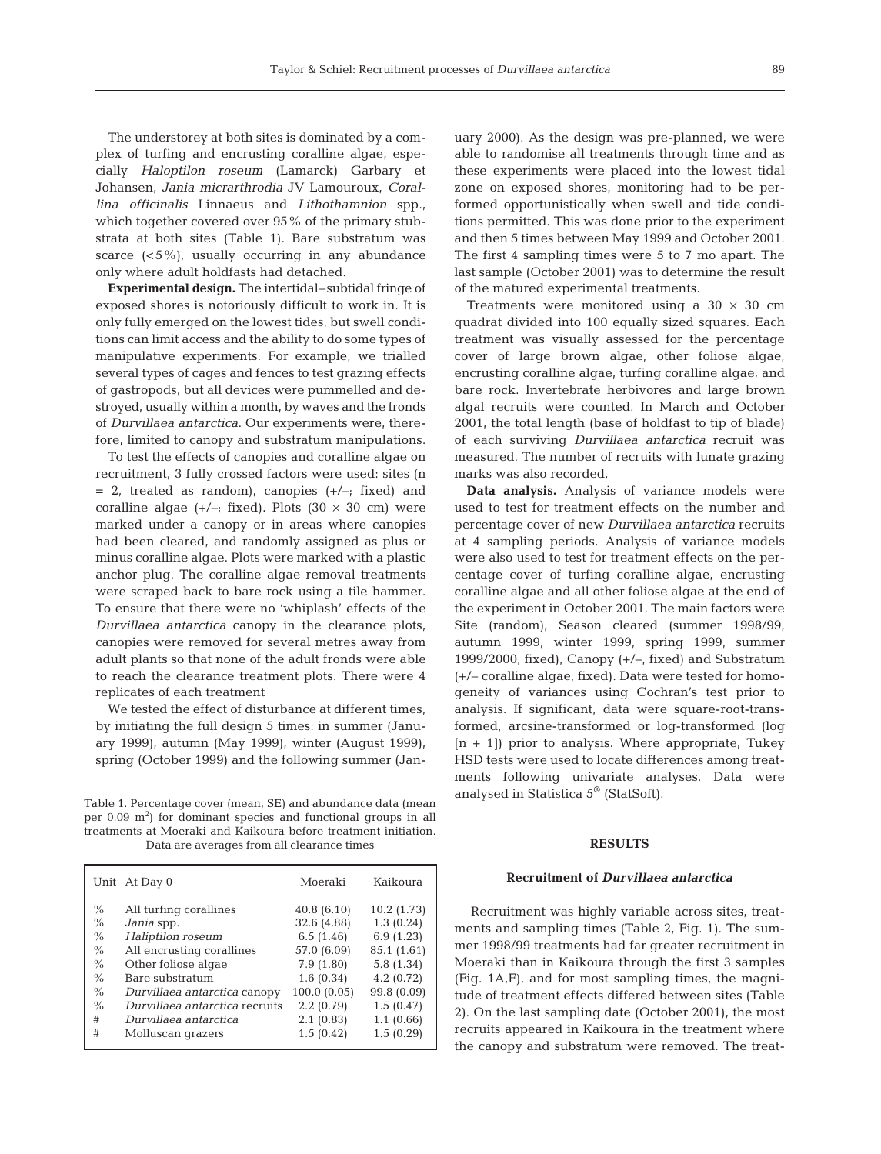The understorey at both sites is dominated by a complex of turfing and encrusting coralline algae, especially *Haloptilon roseum* (Lamarck) Garbary et Johansen, *Jania micrarthrodia* JV Lamouroux, *Corallina officinalis* Linnaeus and *Lithothamnion* spp., which together covered over 95% of the primary stubstrata at both sites (Table 1). Bare substratum was scarce  $(<5\%)$ , usually occurring in any abundance only where adult holdfasts had detached.

**Experimental design.** The intertidal–subtidal fringe of exposed shores is notoriously difficult to work in. It is only fully emerged on the lowest tides, but swell conditions can limit access and the ability to do some types of manipulative experiments. For example, we trialled several types of cages and fences to test grazing effects of gastropods, but all devices were pummelled and destroyed, usually within a month, by waves and the fronds of *Durvillaea antarctica*. Our experiments were, therefore, limited to canopy and substratum manipulations.

To test the effects of canopies and coralline algae on recruitment, 3 fully crossed factors were used: sites (n  $= 2$ , treated as random), canopies  $(+/-;$  fixed) and coralline algae  $(+/-;$  fixed). Plots  $(30 \times 30 \text{ cm})$  were marked under a canopy or in areas where canopies had been cleared, and randomly assigned as plus or minus coralline algae. Plots were marked with a plastic anchor plug. The coralline algae removal treatments were scraped back to bare rock using a tile hammer. To ensure that there were no 'whiplash' effects of the *Durvillaea antarctica* canopy in the clearance plots, canopies were removed for several metres away from adult plants so that none of the adult fronds were able to reach the clearance treatment plots. There were 4 replicates of each treatment

We tested the effect of disturbance at different times, by initiating the full design 5 times: in summer (January 1999), autumn (May 1999), winter (August 1999), spring (October 1999) and the following summer (Jan-

Table 1. Percentage cover (mean, SE) and abundance data (mean per  $0.09 \text{ m}^2$ ) for dominant species and functional groups in all treatments at Moeraki and Kaikoura before treatment initiation. Data are averages from all clearance times

|               | Unit At Day 0                  | Moeraki     | Kaikoura    |
|---------------|--------------------------------|-------------|-------------|
| $\%$          | All turfing corallines         | 40.8 (6.10) | 10.2(1.73)  |
| $\frac{0}{0}$ | Jania spp.                     | 32.6 (4.88) | 1.3(0.24)   |
| $\%$          | Haliptilon roseum              | 6.5(1.46)   | 6.9(1.23)   |
| $\%$          | All encrusting corallines      | 57.0 (6.09) | 85.1 (1.61) |
| $\%$          | Other foliose algae            | 7.9(1.80)   | 5.8 (1.34)  |
| $\%$          | Bare substratum                | 1.6(0.34)   | 4.2(0.72)   |
| $\%$          | Durvillaea antarctica canopy   | 100.0(0.05) | 99.8 (0.09) |
| $\%$          | Durvillaea antarctica recruits | 2.2(0.79)   | 1.5(0.47)   |
| #             | Durvillaea antarctica          | 2.1(0.83)   | 1.1(0.66)   |
| #             | Molluscan grazers              | 1.5(0.42)   | 1.5(0.29)   |

uary 2000). As the design was pre-planned, we were able to randomise all treatments through time and as these experiments were placed into the lowest tidal zone on exposed shores, monitoring had to be performed opportunistically when swell and tide conditions permitted. This was done prior to the experiment and then 5 times between May 1999 and October 2001. The first 4 sampling times were 5 to 7 mo apart. The last sample (October 2001) was to determine the result of the matured experimental treatments.

Treatments were monitored using a  $30 \times 30$  cm quadrat divided into 100 equally sized squares. Each treatment was visually assessed for the percentage cover of large brown algae, other foliose algae, encrusting coralline algae, turfing coralline algae, and bare rock. Invertebrate herbivores and large brown algal recruits were counted. In March and October 2001, the total length (base of holdfast to tip of blade) of each surviving *Durvillaea antarctica* recruit was measured. The number of recruits with lunate grazing marks was also recorded.

**Data analysis.** Analysis of variance models were used to test for treatment effects on the number and percentage cover of new *Durvillaea antarctica* recruits at 4 sampling periods. Analysis of variance models were also used to test for treatment effects on the percentage cover of turfing coralline algae, encrusting coralline algae and all other foliose algae at the end of the experiment in October 2001. The main factors were Site (random), Season cleared (summer 1998/99, autumn 1999, winter 1999, spring 1999, summer 1999/2000, fixed), Canopy (+/–, fixed) and Substratum (+/– coralline algae, fixed). Data were tested for homogeneity of variances using Cochran's test prior to analysis. If significant, data were square-root-transformed, arcsine-transformed or log-transformed (log  $[n + 1]$ ) prior to analysis. Where appropriate, Tukey HSD tests were used to locate differences among treatments following univariate analyses. Data were analysed in Statistica 5® (StatSoft).

## **RESULTS**

#### **Recruitment of** *Durvillaea antarctica*

Recruitment was highly variable across sites, treatments and sampling times (Table 2, Fig. 1). The summer 1998/99 treatments had far greater recruitment in Moeraki than in Kaikoura through the first 3 samples (Fig. 1A,F), and for most sampling times, the magnitude of treatment effects differed between sites (Table 2). On the last sampling date (October 2001), the most recruits appeared in Kaikoura in the treatment where the canopy and substratum were removed. The treat-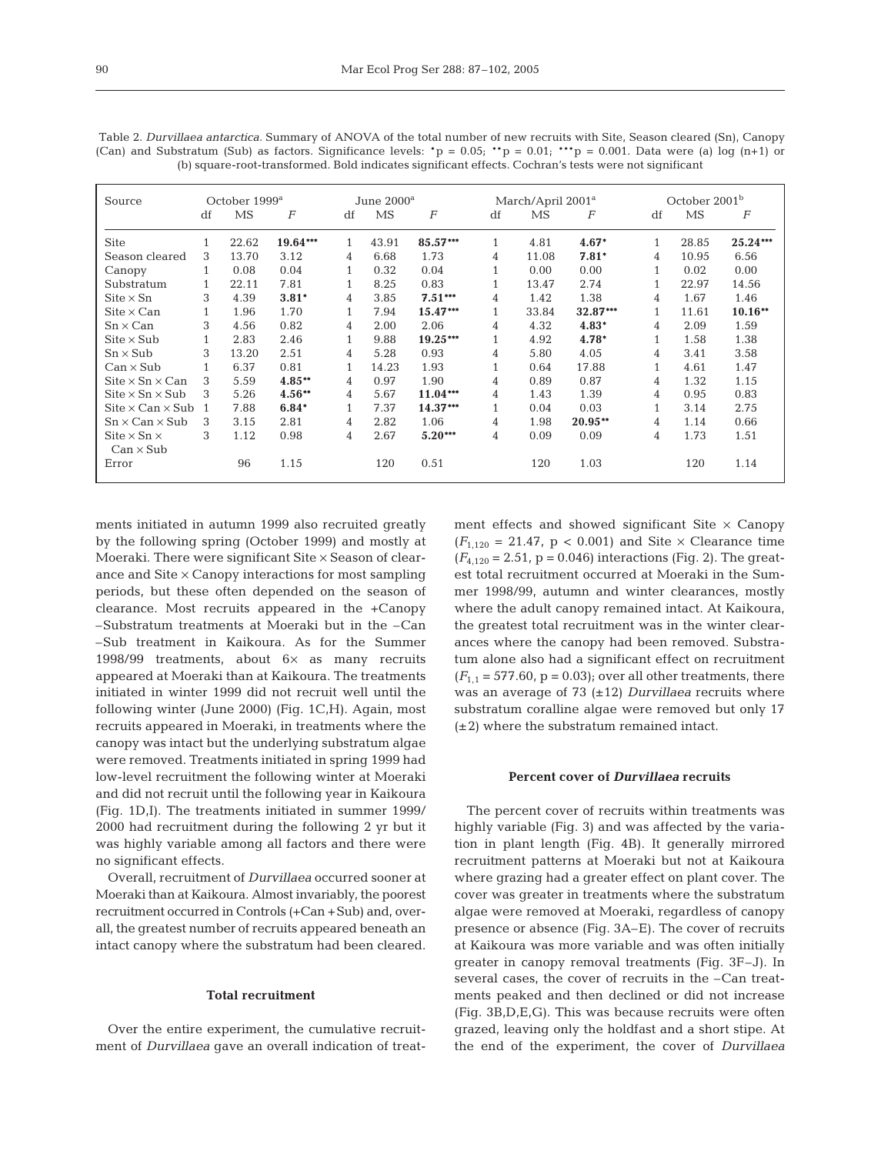| Source                                              | October 1999 <sup>a</sup> |           |          | June 2000 <sup>a</sup> |       |                  | March/April 2001 <sup>a</sup> |       |           | October 2001 <sup>b</sup> |           |                  |
|-----------------------------------------------------|---------------------------|-----------|----------|------------------------|-------|------------------|-------------------------------|-------|-----------|---------------------------|-----------|------------------|
|                                                     | df                        | <b>MS</b> | F        | df                     | MS    | $\boldsymbol{F}$ | df                            | MS    | F         | df                        | <b>MS</b> | $\boldsymbol{F}$ |
| <b>Site</b>                                         |                           | 22.62     | 19.64*** | $\mathbf{1}$           | 43.91 | 85.57***         | $\mathbf{1}$                  | 4.81  | $4.67*$   |                           | 28.85     | $25.24***$       |
| Season cleared                                      | 3                         | 13.70     | 3.12     | 4                      | 6.68  | 1.73             | 4                             | 11.08 | $7.81*$   | 4                         | 10.95     | 6.56             |
| Canopy                                              | 1                         | 0.08      | 0.04     | 1                      | 0.32  | 0.04             | 1                             | 0.00  | 0.00      | $\mathbf{1}$              | 0.02      | 0.00             |
| Substratum                                          |                           | 22.11     | 7.81     | 1                      | 8.25  | 0.83             |                               | 13.47 | 2.74      |                           | 22.97     | 14.56            |
| $\mathrm{Site} \times \mathrm{Sn}$                  | 3                         | 4.39      | $3.81*$  | 4                      | 3.85  | $7.51***$        | 4                             | 1.42  | 1.38      | 4                         | 1.67      | 1.46             |
| $\mathrm{Site} \times \mathrm{Can}$                 | $\mathbf{1}$              | 1.96      | 1.70     | $\mathbf{1}$           | 7.94  | 15.47***         | 1                             | 33.84 | 32.87***  | $\mathbf{1}$              | 11.61     | $10.16**$        |
| $Sn \times Can$                                     | 3                         | 4.56      | 0.82     | 4                      | 2.00  | 2.06             | 4                             | 4.32  | $4.83*$   | 4                         | 2.09      | 1.59             |
| $\text{Site} \times \text{Sub}$                     |                           | 2.83      | 2.46     | $\mathbf{1}$           | 9.88  | 19.25***         | 1                             | 4.92  | 4.78*     |                           | 1.58      | 1.38             |
| $Sn \times Sub$                                     | 3                         | 13.20     | 2.51     | 4                      | 5.28  | 0.93             | 4                             | 5.80  | 4.05      | 4                         | 3.41      | 3.58             |
| $Can \times Sub$                                    |                           | 6.37      | 0.81     |                        | 14.23 | 1.93             | $\mathbf{1}$                  | 0.64  | 17.88     |                           | 4.61      | 1.47             |
| $\text{Site} \times \text{Sn} \times \text{Can}$    | 3                         | 5.59      | $4.85**$ | 4                      | 0.97  | 1.90             | 4                             | 0.89  | 0.87      | 4                         | 1.32      | 1.15             |
| $\text{Site} \times \text{Sn} \times \text{Sub}$    | 3                         | 5.26      | $4.56**$ | 4                      | 5.67  | $11.04***$       | 4                             | 1.43  | 1.39      | 4                         | 0.95      | 0.83             |
| $\text{Site} \times \text{Can} \times \text{Sub}$ 1 |                           | 7.88      | $6.84*$  | 1                      | 7.37  | 14.37***         | 1                             | 0.04  | 0.03      |                           | 3.14      | 2.75             |
| $Sn \times Can \times Sub$                          | 3                         | 3.15      | 2.81     | 4                      | 2.82  | 1.06             | 4                             | 1.98  | $20.95**$ | 4                         | 1.14      | 0.66             |
| $\mathrm{Site} \times \mathrm{Sn} \times$           | 3                         | 1.12      | 0.98     | 4                      | 2.67  | $5.20***$        | 4                             | 0.09  | 0.09      | 4                         | 1.73      | 1.51             |
| $Can \times Sub$                                    |                           |           |          |                        |       |                  |                               |       |           |                           |           |                  |
| Error                                               |                           | 96        | 1.15     |                        | 120   | 0.51             |                               | 120   | 1.03      |                           | 120       | 1.14             |

Table 2. *Durvillaea antarctica*. Summary of ANOVA of the total number of new recruits with Site, Season cleared (Sn), Canopy (Can) and Substratum (Sub) as factors. Significance levels: \*p =  $0.05$ ; \*\*p =  $0.01$ ; \*\*\*p = 0.001. Data were (a) log (n+1) or (b) square-root-transformed. Bold indicates significant effects. Cochran's tests were not significant

ments initiated in autumn 1999 also recruited greatly by the following spring (October 1999) and mostly at Moeraki. There were significant Site × Season of clearance and Site  $\times$  Canopy interactions for most sampling periods, but these often depended on the season of clearance. Most recruits appeared in the +Canopy –Substratum treatments at Moeraki but in the –Can –Sub treatment in Kaikoura. As for the Summer 1998/99 treatments, about 6× as many recruits appeared at Moeraki than at Kaikoura. The treatments initiated in winter 1999 did not recruit well until the following winter (June 2000) (Fig. 1C,H). Again, most recruits appeared in Moeraki, in treatments where the canopy was intact but the underlying substratum algae were removed. Treatments initiated in spring 1999 had low-level recruitment the following winter at Moeraki and did not recruit until the following year in Kaikoura (Fig. 1D,I). The treatments initiated in summer 1999/ 2000 had recruitment during the following 2 yr but it was highly variable among all factors and there were no significant effects.

Overall, recruitment of *Durvillaea* occurred sooner at Moeraki than at Kaikoura. Almost invariably, the poorest recruitment occurred in Controls (+Can +Sub) and, overall, the greatest number of recruits appeared beneath an intact canopy where the substratum had been cleared.

## **Total recruitment**

Over the entire experiment, the cumulative recruitment of *Durvillaea* gave an overall indication of treatment effects and showed significant Site  $\times$  Canopy  $(F_{1,120} = 21.47, p < 0.001)$  and Site  $\times$  Clearance time  $(F_{4,120} = 2.51, p = 0.046)$  interactions (Fig. 2). The greatest total recruitment occurred at Moeraki in the Summer 1998/99, autumn and winter clearances, mostly where the adult canopy remained intact. At Kaikoura, the greatest total recruitment was in the winter clearances where the canopy had been removed. Substratum alone also had a significant effect on recruitment  $(F_{1,1} = 577.60, p = 0.03)$ ; over all other treatments, there was an average of 73 (±12) *Durvillaea* recruits where substratum coralline algae were removed but only 17  $(\pm 2)$  where the substratum remained intact.

## **Percent cover of** *Durvillaea* **recruits**

The percent cover of recruits within treatments was highly variable (Fig. 3) and was affected by the variation in plant length (Fig. 4B). It generally mirrored recruitment patterns at Moeraki but not at Kaikoura where grazing had a greater effect on plant cover. The cover was greater in treatments where the substratum algae were removed at Moeraki, regardless of canopy presence or absence (Fig. 3A–E). The cover of recruits at Kaikoura was more variable and was often initially greater in canopy removal treatments (Fig. 3F–J). In several cases, the cover of recruits in the –Can treatments peaked and then declined or did not increase (Fig. 3B,D,E,G). This was because recruits were often grazed, leaving only the holdfast and a short stipe. At the end of the experiment, the cover of *Durvillaea*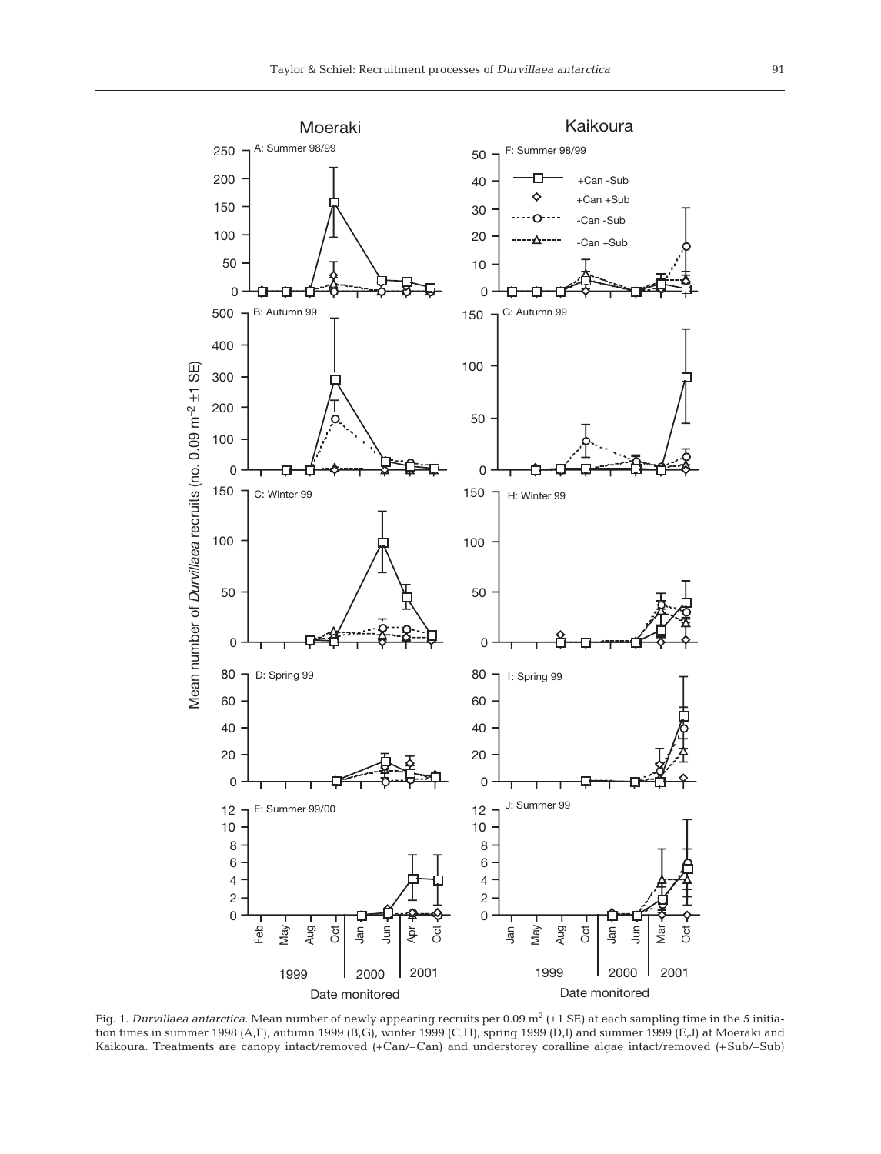

Fig. 1. *Durvillaea antarctica*. Mean number of newly appearing recruits per 0.09 m<sup>2</sup> (±1 SE) at each sampling time in the 5 initiation times in summer 1998 (A,F), autumn 1999 (B,G), winter 1999 (C,H), spring 1999 (D,I) and summer 1999 (E,J) at Moeraki and Kaikoura. Treatments are canopy intact/removed (+Can/–Can) and understorey coralline algae intact/removed (+Sub/–Sub)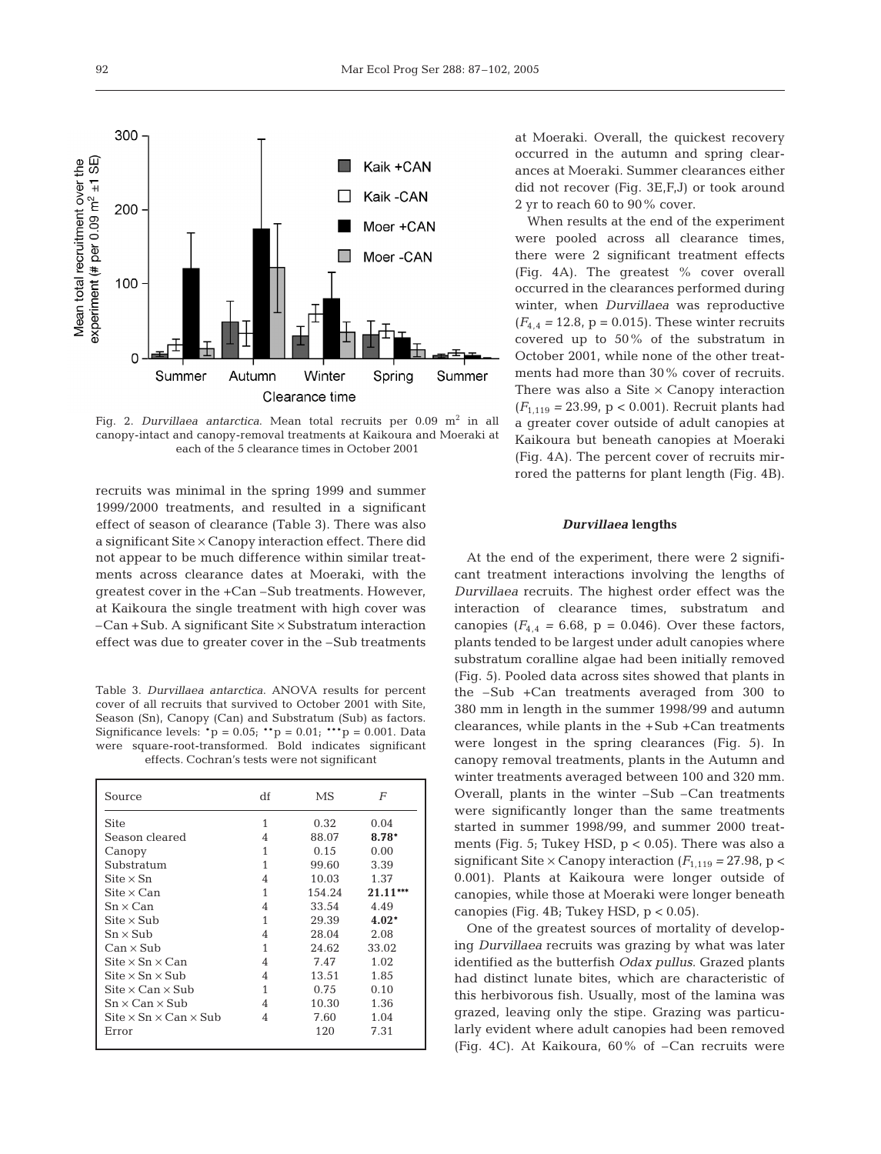

Fig. 2. *Durvillaea antarctica*. Mean total recruits per 0.09 m<sup>2</sup> in all canopy-intact and canopy-removal treatments at Kaikoura and Moeraki at each of the 5 clearance times in October 2001

recruits was minimal in the spring 1999 and summer 1999/2000 treatments, and resulted in a significant effect of season of clearance (Table 3). There was also a significant Site × Canopy interaction effect. There did not appear to be much difference within similar treatments across clearance dates at Moeraki, with the greatest cover in the +Can –Sub treatments. However, at Kaikoura the single treatment with high cover was  $-Can + Sub.$  A significant Site  $\times$  Substratum interaction effect was due to greater cover in the –Sub treatments

Table 3. *Durvillaea antarctica*. ANOVA results for percent cover of all recruits that survived to October 2001 with Site, Season (Sn), Canopy (Can) and Substratum (Sub) as factors. Significance levels:  ${}^*p = 0.05$ ;  ${}^{**}p = 0.01$ ;  ${}^{***}p = 0.001$ . Data were square-root-transformed. Bold indicates significant effects. Cochran's tests were not significant

| Source                                                 | df | MS     | F          |
|--------------------------------------------------------|----|--------|------------|
| Site                                                   | 1  | 0.32   | 0.04       |
| Season cleared                                         | 4  | 88.07  | $8.78*$    |
| Canopy                                                 | 1  | 0.15   | 0.00       |
| Substratum                                             | 1  | 99.60  | 3.39       |
| $\text{Site} \times \text{Sn}$                         | 4  | 10.03  | 1.37       |
| $\mathrm{Site} \times \mathrm{Can}$                    | 1  | 154.24 | $21.11***$ |
| $Sn \times Can$                                        | 4  | 33.54  | 4.49       |
| $\mathrm{Site} \times \mathrm{Sub}$                    | 1  | 29.39  | $4.02*$    |
| $Sn \times Sub$                                        | 4  | 28.04  | 2.08       |
| Can × Sub                                              | 1  | 24.62  | 33.02      |
| Site $\times$ Sn $\times$ Can                          | 4  | 7.47   | 1.02       |
| $\mathrm{Site} \times \mathrm{Sn} \times \mathrm{Sub}$ | 4  | 13.51  | 1.85       |
| Site $\times$ Can $\times$ Sub                         | 1  | 0.75   | 0.10       |
| $Sn \times Can \times Sub$                             | 4  | 10.30  | 1.36       |
| Site $\times$ Sn $\times$ Can $\times$ Sub             | 4  | 7.60   | 1.04       |
| Error                                                  |    | 120    | 7.31       |

at Moeraki. Overall, the quickest recovery occurred in the autumn and spring clearances at Moeraki. Summer clearances either did not recover (Fig. 3E,F,J) or took around 2 yr to reach 60 to 90% cover.

When results at the end of the experiment were pooled across all clearance times, there were 2 significant treatment effects (Fig. 4A). The greatest % cover overall occurred in the clearances performed during winter, when *Durvillaea* was reproductive  $(F_{4,4} = 12.8, p = 0.015)$ . These winter recruits covered up to 50% of the substratum in October 2001, while none of the other treatments had more than 30% cover of recruits. There was also a Site  $\times$  Canopy interaction (*F*1,119 *=* 23.99*,* p < 0.001). Recruit plants had a greater cover outside of adult canopies at Kaikoura but beneath canopies at Moeraki (Fig. 4A). The percent cover of recruits mirrored the patterns for plant length (Fig. 4B).

## *Durvillaea* **lengths**

At the end of the experiment, there were 2 significant treatment interactions involving the lengths of *Durvillaea* recruits. The highest order effect was the interaction of clearance times, substratum and canopies  $(F_{4,4} = 6.68, p = 0.046)$ . Over these factors, plants tended to be largest under adult canopies where substratum coralline algae had been initially removed (Fig. 5). Pooled data across sites showed that plants in the –Sub +Can treatments averaged from 300 to 380 mm in length in the summer 1998/99 and autumn clearances, while plants in the +Sub +Can treatments were longest in the spring clearances (Fig. 5). In canopy removal treatments, plants in the Autumn and winter treatments averaged between 100 and 320 mm. Overall, plants in the winter –Sub –Can treatments were significantly longer than the same treatments started in summer 1998/99, and summer 2000 treatments (Fig. 5; Tukey HSD,  $p < 0.05$ ). There was also a significant Site  $\times$  Canopy interaction ( $F_{1,119}$  = 27.98, p < 0.001). Plants at Kaikoura were longer outside of canopies, while those at Moeraki were longer beneath canopies (Fig. 4B; Tukey HSD,  $p < 0.05$ ).

One of the greatest sources of mortality of developing *Durvillaea* recruits was grazing by what was later identified as the butterfish *Odax pullus*. Grazed plants had distinct lunate bites, which are characteristic of this herbivorous fish. Usually, most of the lamina was grazed, leaving only the stipe. Grazing was particularly evident where adult canopies had been removed (Fig. 4C). At Kaikoura, 60% of –Can recruits were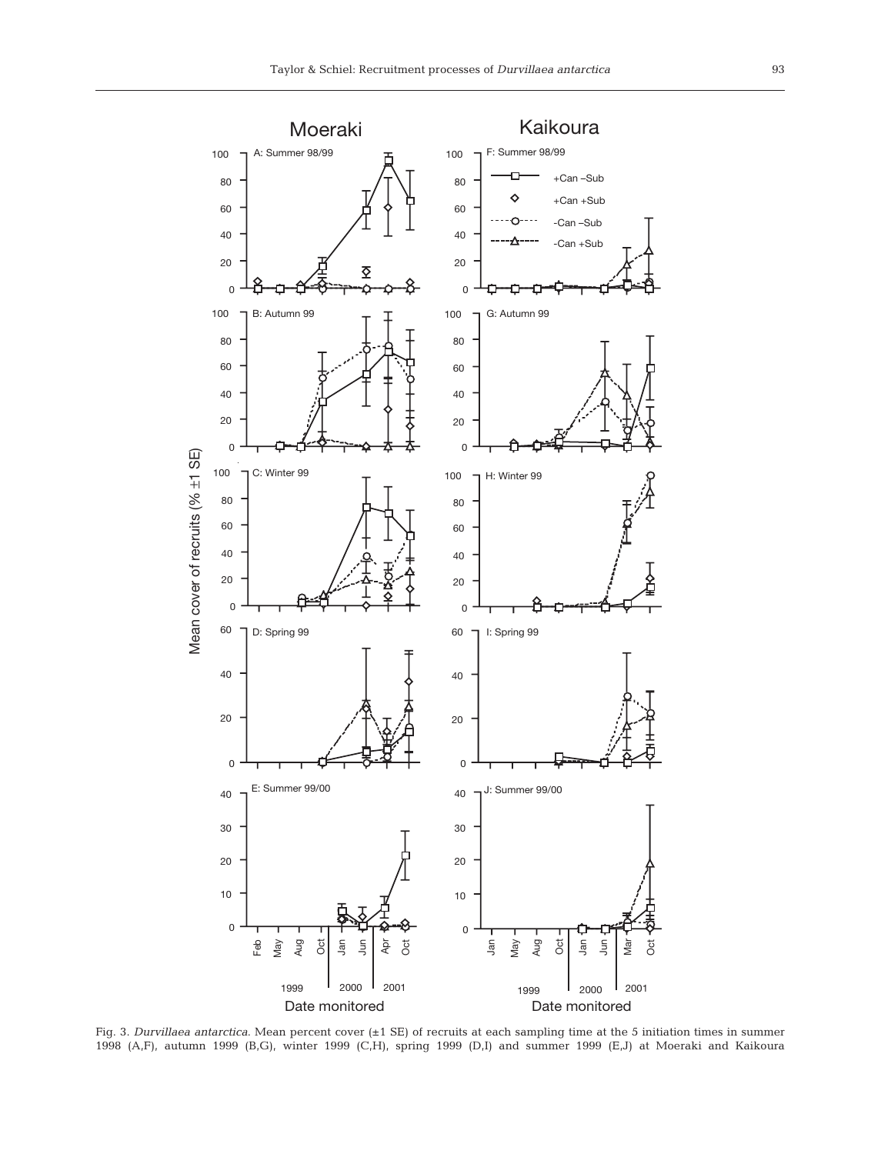

Fig. 3. *Durvillaea antarctica*. Mean percent cover (±1 SE) of recruits at each sampling time at the 5 initiation times in summer 1998 (A,F), autumn 1999 (B,G), winter 1999 (C,H), spring 1999 (D,I) and summer 1999 (E,J) at Moeraki and Kaikoura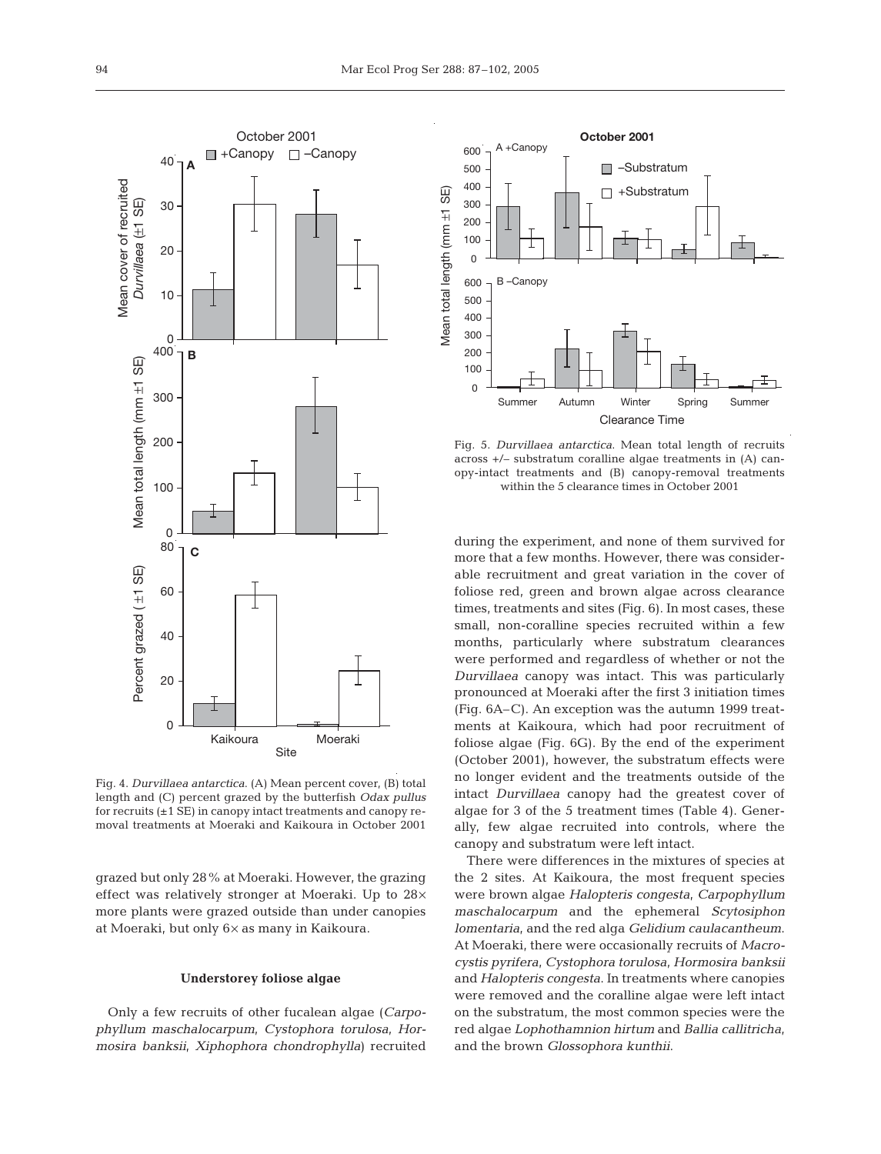

Fig. 4. *Durvillaea antarctica*. (A) Mean percent cover, (B) total length and (C) percent grazed by the butterfish *Odax pullus* for recruits (±1 SE) in canopy intact treatments and canopy removal treatments at Moeraki and Kaikoura in October 2001

grazed but only 28% at Moeraki. However, the grazing effect was relatively stronger at Moeraki. Up to 28× more plants were grazed outside than under canopies at Moeraki, but only 6× as many in Kaikoura.

#### **Understorey foliose algae**

Only a few recruits of other fucalean algae (*Carpophyllum maschalocarpum*, *Cystophora torulosa*, *Hormosira banksii*, *Xiphophora chondrophylla*) recruited



Fig. 5. *Durvillaea antarctica*. Mean total length of recruits across +/– substratum coralline algae treatments in (A) canopy-intact treatments and (B) canopy-removal treatments within the 5 clearance times in October 2001

during the experiment, and none of them survived for more that a few months. However, there was considerable recruitment and great variation in the cover of foliose red, green and brown algae across clearance times, treatments and sites (Fig. 6). In most cases, these small, non-coralline species recruited within a few months, particularly where substratum clearances were performed and regardless of whether or not the *Durvillaea* canopy was intact. This was particularly pronounced at Moeraki after the first 3 initiation times (Fig. 6A–C). An exception was the autumn 1999 treatments at Kaikoura, which had poor recruitment of foliose algae (Fig. 6G). By the end of the experiment (October 2001), however, the substratum effects were no longer evident and the treatments outside of the intact *Durvillaea* canopy had the greatest cover of algae for 3 of the 5 treatment times (Table 4). Generally, few algae recruited into controls, where the canopy and substratum were left intact.

There were differences in the mixtures of species at the 2 sites. At Kaikoura, the most frequent species were brown algae *Halopteris congesta*, *Carpophyllum maschalocarpum* and the ephemeral *Scytosiphon lomentaria*, and the red alga *Gelidium caulacantheum*. At Moeraki, there were occasionally recruits of *Macrocystis pyrifera*, *Cystophora torulosa*, *Hormosira banksii* and *Halopteris congesta*. In treatments where canopies were removed and the coralline algae were left intact on the substratum, the most common species were the red algae *Lophothamnion hirtum* and *Ballia callitricha*, and the brown *Glossophora kunthii*.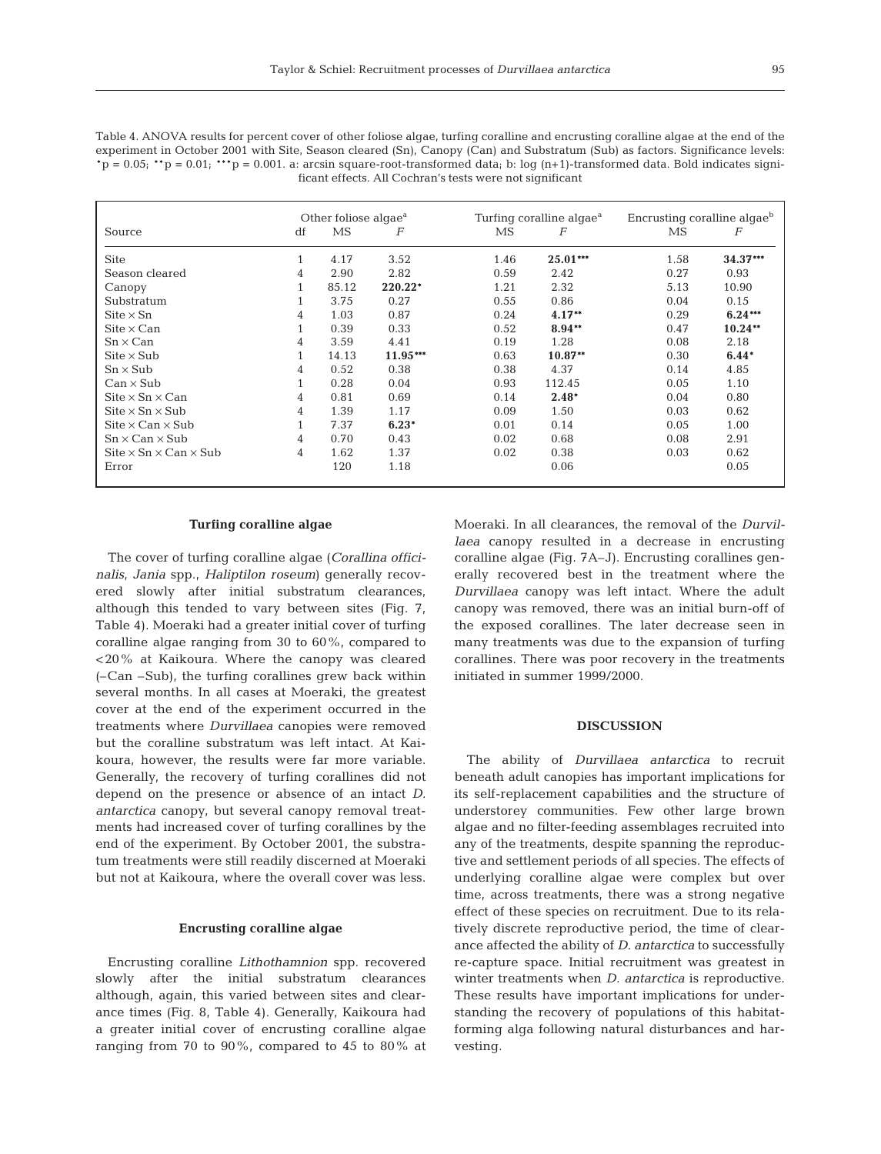| Table 4. ANOVA results for percent cover of other foliose algae, turfing coralline and encrusting coralline algae at the end of the  |
|--------------------------------------------------------------------------------------------------------------------------------------|
| experiment in October 2001 with Site, Season cleared (Sn), Canopy (Can) and Substratum (Sub) as factors. Significance levels:        |
| $p = 0.05$ ; $p = 0.01$ ; $p = 0.001$ . a: arcsin square-root-transformed data; b: log (n+1)-transformed data. Bold indicates signi- |
| ficant effects. All Cochran's tests were not significant                                                                             |

|                                                                    | Other foliose algae <sup>a</sup> |       |          |      | Turfing coralline algae <sup>a</sup> | Encrusting coralline algae <sup>b</sup> |            |  |
|--------------------------------------------------------------------|----------------------------------|-------|----------|------|--------------------------------------|-----------------------------------------|------------|--|
| Source                                                             | df                               | MS    | F        | MS   | F                                    | MS                                      | F          |  |
| <b>Site</b>                                                        |                                  | 4.17  | 3.52     | 1.46 | $25.01***$                           | 1.58                                    | $34.37***$ |  |
| Season cleared                                                     | 4                                | 2.90  | 2.82     | 0.59 | 2.42                                 | 0.27                                    | 0.93       |  |
| Canopy                                                             |                                  | 85.12 | 220.22*  | 1.21 | 2.32                                 | 5.13                                    | 10.90      |  |
| Substratum                                                         |                                  | 3.75  | 0.27     | 0.55 | 0.86                                 | 0.04                                    | 0.15       |  |
| $\mathrm{Site} \times \mathrm{Sn}$                                 | 4                                | 1.03  | 0.87     | 0.24 | $4.17**$                             | 0.29                                    | $6.24***$  |  |
| $\mathrm{Site} \times \mathrm{Can}$                                |                                  | 0.39  | 0.33     | 0.52 | $8.94**$                             | 0.47                                    | $10.24**$  |  |
| $Sn \times Can$                                                    | 4                                | 3.59  | 4.41     | 0.19 | 1.28                                 | 0.08                                    | 2.18       |  |
| $\text{Site} \times \text{Sub}$                                    |                                  | 14.13 | 11.95*** | 0.63 | $10.87**$                            | 0.30                                    | $6.44*$    |  |
| $Sn \times Sub$                                                    | 4                                | 0.52  | 0.38     | 0.38 | 4.37                                 | 0.14                                    | 4.85       |  |
| $Can \times Sub$                                                   |                                  | 0.28  | 0.04     | 0.93 | 112.45                               | 0.05                                    | 1.10       |  |
| $\text{Site} \times \text{Sn} \times \text{Can}$                   | 4                                | 0.81  | 0.69     | 0.14 | $2.48*$                              | 0.04                                    | 0.80       |  |
| $\text{Site} \times \text{Sn} \times \text{Sub}$                   | 4                                | 1.39  | 1.17     | 0.09 | 1.50                                 | 0.03                                    | 0.62       |  |
| $\text{Site} \times \text{Can} \times \text{Sub}$                  |                                  | 7.37  | $6.23*$  | 0.01 | 0.14                                 | 0.05                                    | 1.00       |  |
| $Sn \times Can \times Sub$                                         | 4                                | 0.70  | 0.43     | 0.02 | 0.68                                 | 0.08                                    | 2.91       |  |
| $\text{Site} \times \text{Sn} \times \text{Can} \times \text{Sub}$ | $\overline{4}$                   | 1.62  | 1.37     | 0.02 | 0.38                                 | 0.03                                    | 0.62       |  |
| Error                                                              |                                  | 120   | 1.18     |      | 0.06                                 |                                         | 0.05       |  |

## **Turfing coralline algae**

The cover of turfing coralline algae (*Corallina officinalis*, *Jania* spp., *Haliptilon roseum*) generally recovered slowly after initial substratum clearances, although this tended to vary between sites (Fig. 7, Table 4). Moeraki had a greater initial cover of turfing coralline algae ranging from 30 to 60%, compared to <20% at Kaikoura. Where the canopy was cleared (–Can –Sub), the turfing corallines grew back within several months. In all cases at Moeraki, the greatest cover at the end of the experiment occurred in the treatments where *Durvillaea* canopies were removed but the coralline substratum was left intact. At Kaikoura, however, the results were far more variable. Generally, the recovery of turfing corallines did not depend on the presence or absence of an intact *D. antarctica* canopy, but several canopy removal treatments had increased cover of turfing corallines by the end of the experiment. By October 2001, the substratum treatments were still readily discerned at Moeraki but not at Kaikoura, where the overall cover was less.

## **Encrusting coralline algae**

Encrusting coralline *Lithothamnion* spp. recovered slowly after the initial substratum clearances although, again, this varied between sites and clearance times (Fig. 8, Table 4). Generally, Kaikoura had a greater initial cover of encrusting coralline algae ranging from 70 to 90%, compared to 45 to 80% at

Moeraki. In all clearances, the removal of the *Durvillaea* canopy resulted in a decrease in encrusting coralline algae (Fig. 7A–J). Encrusting corallines generally recovered best in the treatment where the *Durvillaea* canopy was left intact. Where the adult canopy was removed, there was an initial burn-off of the exposed corallines. The later decrease seen in many treatments was due to the expansion of turfing corallines. There was poor recovery in the treatments initiated in summer 1999/2000.

## **DISCUSSION**

The ability of *Durvillaea antarctica* to recruit beneath adult canopies has important implications for its self-replacement capabilities and the structure of understorey communities. Few other large brown algae and no filter-feeding assemblages recruited into any of the treatments, despite spanning the reproductive and settlement periods of all species. The effects of underlying coralline algae were complex but over time, across treatments, there was a strong negative effect of these species on recruitment. Due to its relatively discrete reproductive period, the time of clearance affected the ability of *D. antarctica* to successfully re-capture space. Initial recruitment was greatest in winter treatments when *D. antarctica* is reproductive. These results have important implications for understanding the recovery of populations of this habitatforming alga following natural disturbances and harvesting.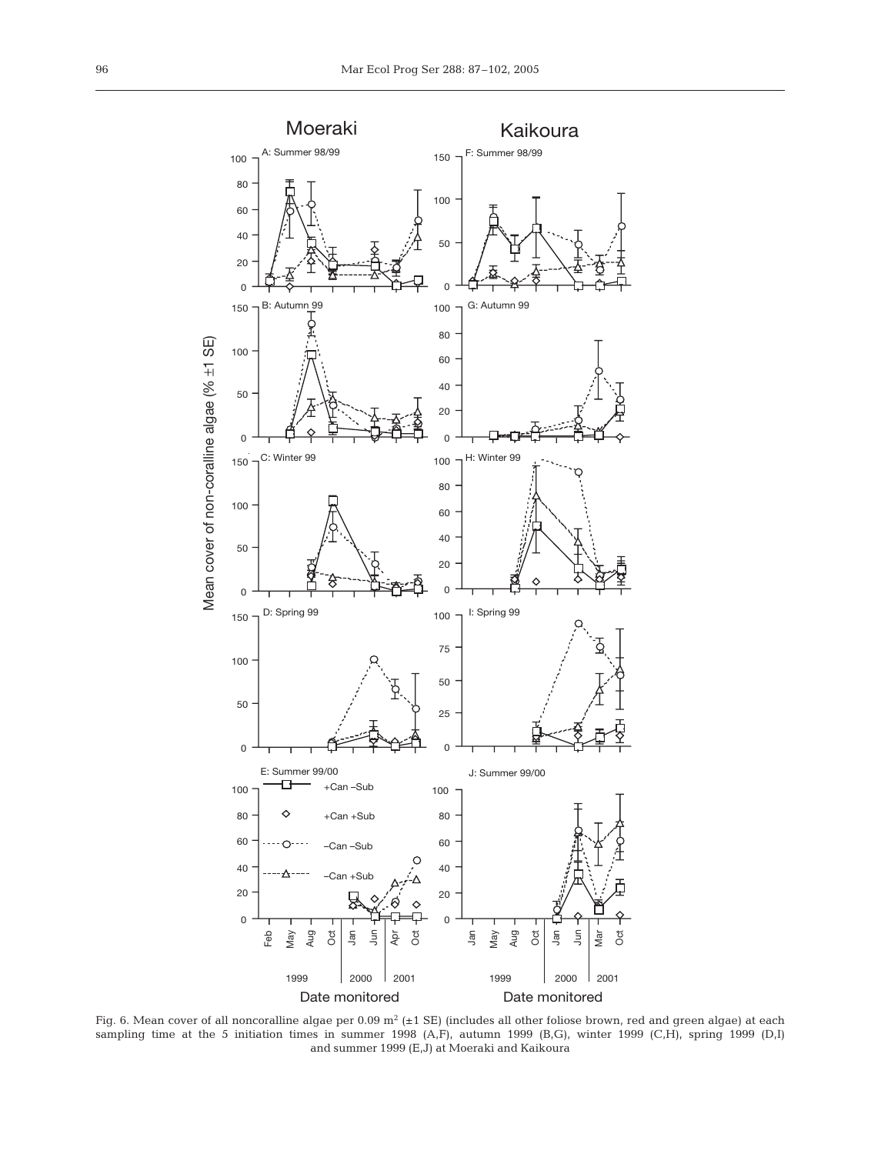

Fig. 6. Mean cover of all noncoralline algae per  $0.09 \text{ m}^2$  ( $\pm 1 \text{ SE}$ ) (includes all other foliose brown, red and green algae) at each sampling time at the 5 initiation times in summer 1998 (A,F), autumn 1999 (B,G), winter 1999 (C,H), spring 1999 (D,I) and summer 1999 (E,J) at Moeraki and Kaikoura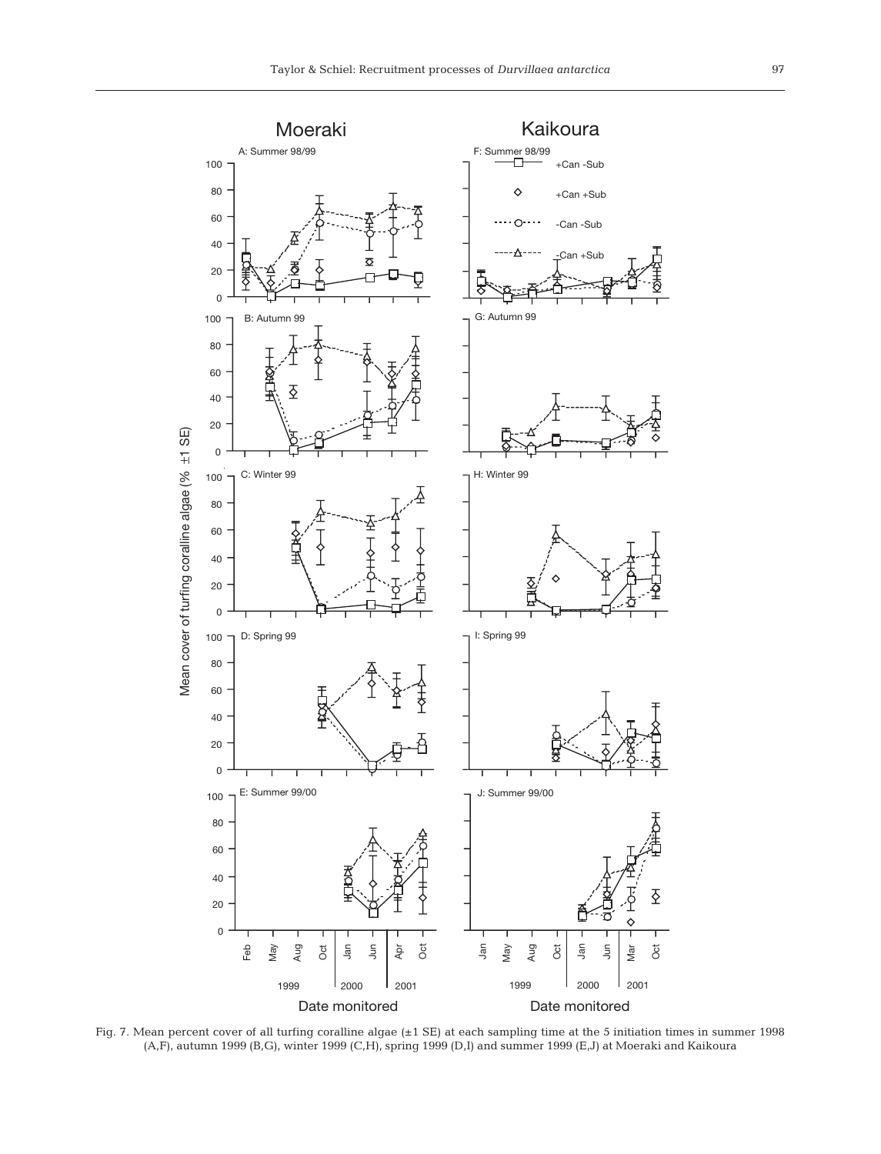

Fig. 7. Mean percent cover of all turfing coralline algae (±1 SE) at each sampling time at the 5 initiation times in summer 1998 (A,F), autumn 1999 (B,G), winter 1999 (C,H), spring 1999 (D,I) and summer 1999 (E,J) at Moeraki and Kaikoura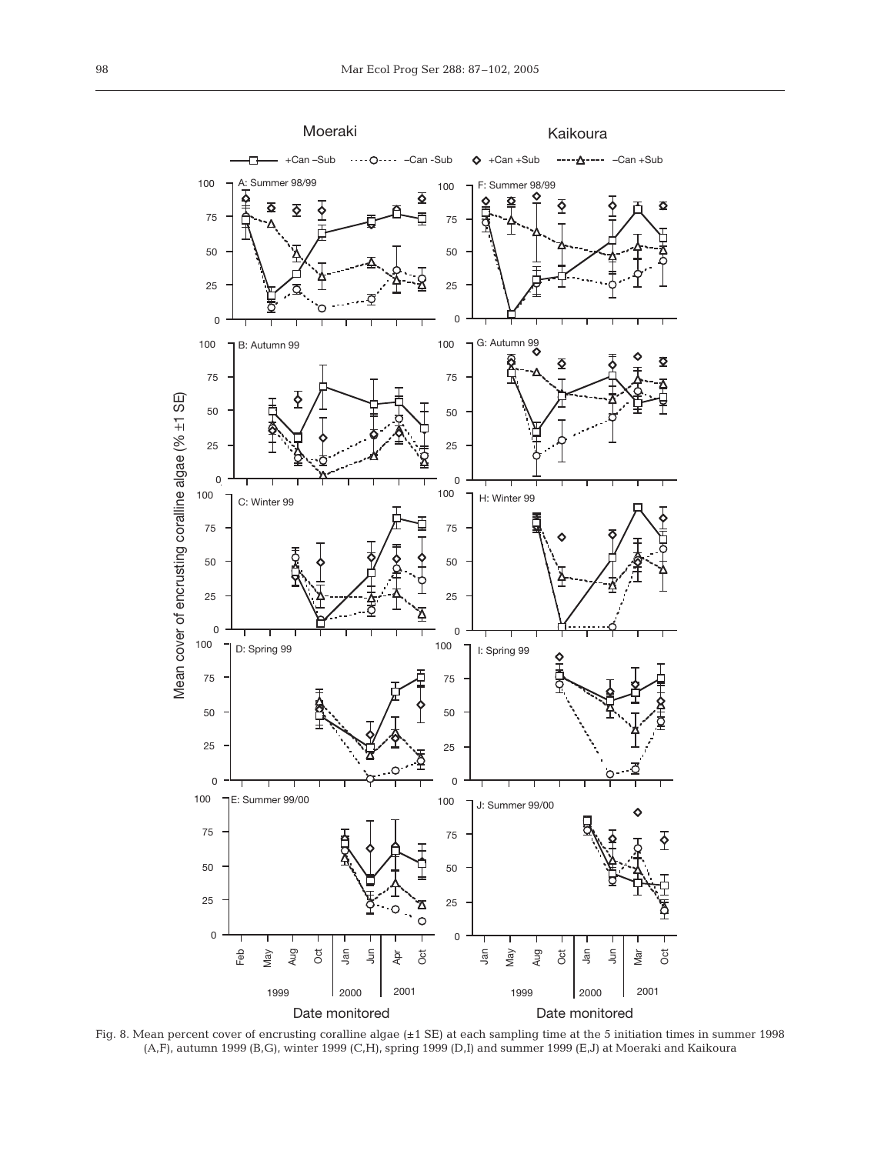

Fig. 8. Mean percent cover of encrusting coralline algae (±1 SE) at each sampling time at the 5 initiation times in summer 1998 (A,F), autumn 1999 (B,G), winter 1999 (C,H), spring 1999 (D,I) and summer 1999 (E,J) at Moeraki and Kaikoura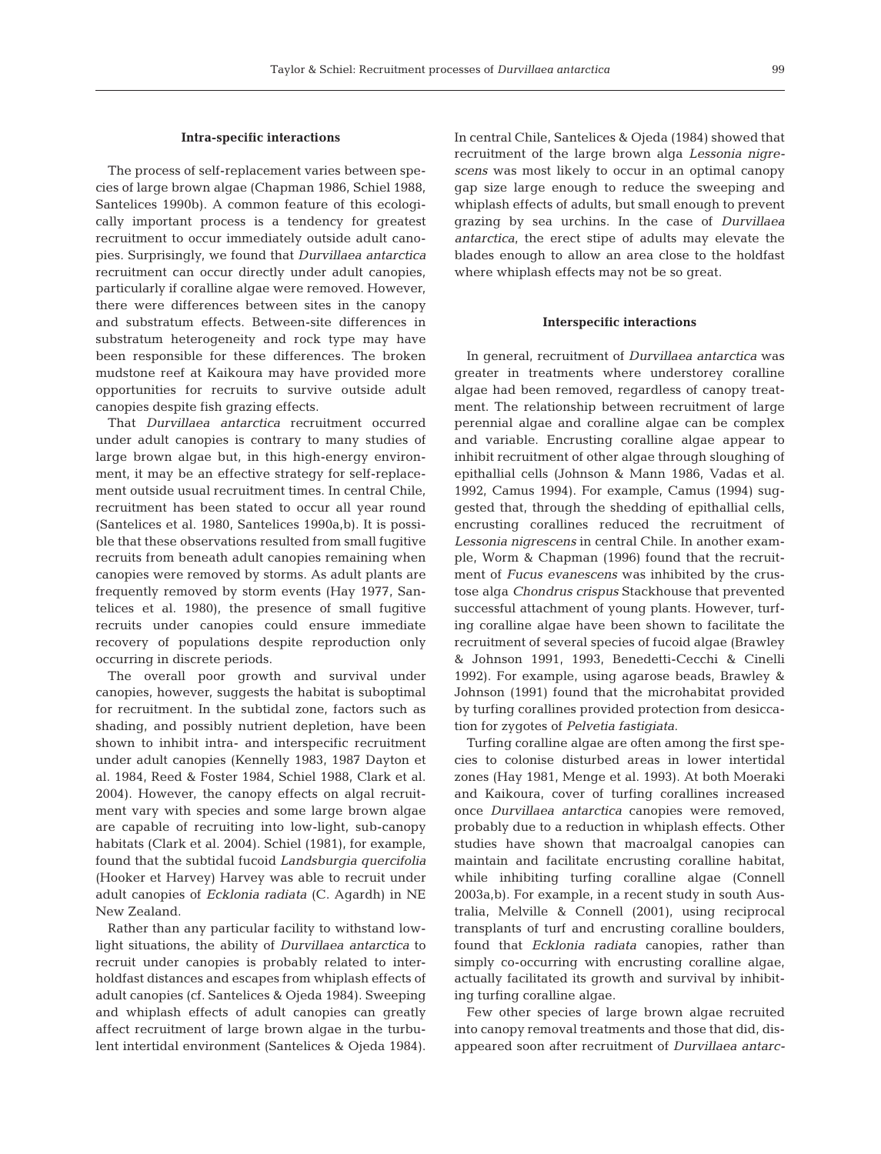#### **Intra-specific interactions**

The process of self-replacement varies between species of large brown algae (Chapman 1986, Schiel 1988, Santelices 1990b). A common feature of this ecologically important process is a tendency for greatest recruitment to occur immediately outside adult canopies. Surprisingly, we found that *Durvillaea antarctica* recruitment can occur directly under adult canopies, particularly if coralline algae were removed. However, there were differences between sites in the canopy and substratum effects. Between-site differences in substratum heterogeneity and rock type may have been responsible for these differences. The broken mudstone reef at Kaikoura may have provided more opportunities for recruits to survive outside adult canopies despite fish grazing effects.

That *Durvillaea antarctica* recruitment occurred under adult canopies is contrary to many studies of large brown algae but, in this high-energy environment, it may be an effective strategy for self-replacement outside usual recruitment times. In central Chile, recruitment has been stated to occur all year round (Santelices et al. 1980, Santelices 1990a,b). It is possible that these observations resulted from small fugitive recruits from beneath adult canopies remaining when canopies were removed by storms. As adult plants are frequently removed by storm events (Hay 1977, Santelices et al. 1980), the presence of small fugitive recruits under canopies could ensure immediate recovery of populations despite reproduction only occurring in discrete periods.

The overall poor growth and survival under canopies, however, suggests the habitat is suboptimal for recruitment. In the subtidal zone, factors such as shading, and possibly nutrient depletion, have been shown to inhibit intra- and interspecific recruitment under adult canopies (Kennelly 1983, 1987 Dayton et al. 1984, Reed & Foster 1984, Schiel 1988, Clark et al. 2004). However, the canopy effects on algal recruitment vary with species and some large brown algae are capable of recruiting into low-light, sub-canopy habitats (Clark et al. 2004). Schiel (1981), for example, found that the subtidal fucoid *Landsburgia quercifolia* (Hooker et Harvey) Harvey was able to recruit under adult canopies of *Ecklonia radiata* (C. Agardh) in NE New Zealand.

Rather than any particular facility to withstand lowlight situations, the ability of *Durvillaea antarctica* to recruit under canopies is probably related to interholdfast distances and escapes from whiplash effects of adult canopies (cf. Santelices & Ojeda 1984). Sweeping and whiplash effects of adult canopies can greatly affect recruitment of large brown algae in the turbulent intertidal environment (Santelices & Ojeda 1984). In central Chile, Santelices & Ojeda (1984) showed that recruitment of the large brown alga *Lessonia nigrescens* was most likely to occur in an optimal canopy gap size large enough to reduce the sweeping and whiplash effects of adults, but small enough to prevent grazing by sea urchins. In the case of *Durvillaea antarctica*, the erect stipe of adults may elevate the blades enough to allow an area close to the holdfast where whiplash effects may not be so great.

## **Interspecific interactions**

In general, recruitment of *Durvillaea antarctica* was greater in treatments where understorey coralline algae had been removed, regardless of canopy treatment. The relationship between recruitment of large perennial algae and coralline algae can be complex and variable. Encrusting coralline algae appear to inhibit recruitment of other algae through sloughing of epithallial cells (Johnson & Mann 1986, Vadas et al. 1992, Camus 1994). For example, Camus (1994) suggested that, through the shedding of epithallial cells, encrusting corallines reduced the recruitment of *Lessonia nigrescens* in central Chile. In another example, Worm & Chapman (1996) found that the recruitment of *Fucus evanescens* was inhibited by the crustose alga *Chondrus crispus* Stackhouse that prevented successful attachment of young plants. However, turfing coralline algae have been shown to facilitate the recruitment of several species of fucoid algae (Brawley & Johnson 1991, 1993, Benedetti-Cecchi & Cinelli 1992). For example, using agarose beads, Brawley & Johnson (1991) found that the microhabitat provided by turfing corallines provided protection from desiccation for zygotes of *Pelvetia fastigiata*.

Turfing coralline algae are often among the first species to colonise disturbed areas in lower intertidal zones (Hay 1981, Menge et al. 1993). At both Moeraki and Kaikoura, cover of turfing corallines increased once *Durvillaea antarctica* canopies were removed, probably due to a reduction in whiplash effects. Other studies have shown that macroalgal canopies can maintain and facilitate encrusting coralline habitat, while inhibiting turfing coralline algae (Connell 2003a,b). For example, in a recent study in south Australia, Melville & Connell (2001), using reciprocal transplants of turf and encrusting coralline boulders, found that *Ecklonia radiata* canopies, rather than simply co-occurring with encrusting coralline algae, actually facilitated its growth and survival by inhibiting turfing coralline algae.

Few other species of large brown algae recruited into canopy removal treatments and those that did, disappeared soon after recruitment of *Durvillaea antarc-*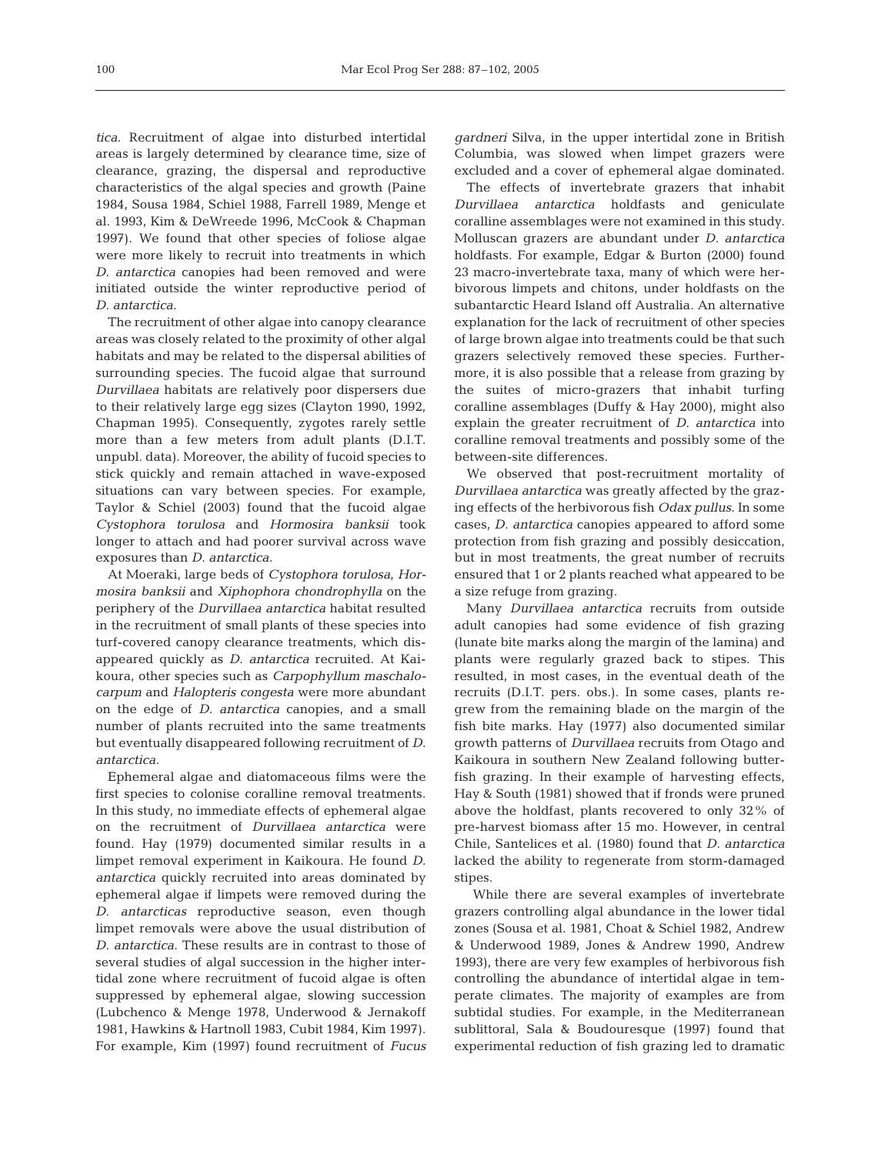*tica*. Recruitment of algae into disturbed intertidal areas is largely determined by clearance time, size of clearance, grazing, the dispersal and reproductive characteristics of the algal species and growth (Paine 1984, Sousa 1984, Schiel 1988, Farrell 1989, Menge et al. 1993, Kim & DeWreede 1996, McCook & Chapman 1997). We found that other species of foliose algae were more likely to recruit into treatments in which *D. antarctica* canopies had been removed and were initiated outside the winter reproductive period of *D. antarctica*.

The recruitment of other algae into canopy clearance areas was closely related to the proximity of other algal habitats and may be related to the dispersal abilities of surrounding species. The fucoid algae that surround *Durvillaea* habitats are relatively poor dispersers due to their relatively large egg sizes (Clayton 1990, 1992, Chapman 1995). Consequently, zygotes rarely settle more than a few meters from adult plants (D.I.T. unpubl. data). Moreover, the ability of fucoid species to stick quickly and remain attached in wave-exposed situations can vary between species. For example, Taylor & Schiel (2003) found that the fucoid algae *Cystophora torulosa* and *Hormosira banksii* took longer to attach and had poorer survival across wave exposures than *D. antarctica*.

At Moeraki, large beds of *Cystophora torulosa*, *Hormosira banksii* and *Xiphophora chondrophylla* on the periphery of the *Durvillaea antarctica* habitat resulted in the recruitment of small plants of these species into turf-covered canopy clearance treatments, which disappeared quickly as *D. antarctica* recruited. At Kaikoura, other species such as *Carpophyllum maschalocarpum* and *Halopteris congesta* were more abundant on the edge of *D. antarctica* canopies, and a small number of plants recruited into the same treatments but eventually disappeared following recruitment of *D. antarctica*.

Ephemeral algae and diatomaceous films were the first species to colonise coralline removal treatments. In this study, no immediate effects of ephemeral algae on the recruitment of *Durvillaea antarctica* were found. Hay (1979) documented similar results in a limpet removal experiment in Kaikoura. He found *D. antarctica* quickly recruited into areas dominated by ephemeral algae if limpets were removed during the *D. antarcticas* reproductive season, even though limpet removals were above the usual distribution of *D. antarctica*. These results are in contrast to those of several studies of algal succession in the higher intertidal zone where recruitment of fucoid algae is often suppressed by ephemeral algae, slowing succession (Lubchenco & Menge 1978, Underwood & Jernakoff 1981, Hawkins & Hartnoll 1983, Cubit 1984, Kim 1997). For example, Kim (1997) found recruitment of *Fucus* *gardneri* Silva, in the upper intertidal zone in British Columbia, was slowed when limpet grazers were excluded and a cover of ephemeral algae dominated.

The effects of invertebrate grazers that inhabit *Durvillaea antarctica* holdfasts and geniculate coralline assemblages were not examined in this study. Molluscan grazers are abundant under *D. antarctica* holdfasts. For example, Edgar & Burton (2000) found 23 macro-invertebrate taxa, many of which were herbivorous limpets and chitons, under holdfasts on the subantarctic Heard Island off Australia. An alternative explanation for the lack of recruitment of other species of large brown algae into treatments could be that such grazers selectively removed these species. Furthermore, it is also possible that a release from grazing by the suites of micro-grazers that inhabit turfing coralline assemblages (Duffy & Hay 2000), might also explain the greater recruitment of *D. antarctica* into coralline removal treatments and possibly some of the between-site differences.

We observed that post-recruitment mortality of *Durvillaea antarctica* was greatly affected by the grazing effects of the herbivorous fish *Odax pullus*. In some cases, *D. antarctica* canopies appeared to afford some protection from fish grazing and possibly desiccation, but in most treatments, the great number of recruits ensured that 1 or 2 plants reached what appeared to be a size refuge from grazing.

Many *Durvillaea antarctica* recruits from outside adult canopies had some evidence of fish grazing (lunate bite marks along the margin of the lamina) and plants were regularly grazed back to stipes. This resulted, in most cases, in the eventual death of the recruits (D.I.T. pers. obs.). In some cases, plants regrew from the remaining blade on the margin of the fish bite marks. Hay (1977) also documented similar growth patterns of *Durvillaea* recruits from Otago and Kaikoura in southern New Zealand following butterfish grazing. In their example of harvesting effects, Hay & South (1981) showed that if fronds were pruned above the holdfast, plants recovered to only 32% of pre-harvest biomass after 15 mo. However, in central Chile, Santelices et al. (1980) found that *D. antarctica* lacked the ability to regenerate from storm-damaged stipes.

While there are several examples of invertebrate grazers controlling algal abundance in the lower tidal zones (Sousa et al. 1981, Choat & Schiel 1982, Andrew & Underwood 1989, Jones & Andrew 1990, Andrew 1993), there are very few examples of herbivorous fish controlling the abundance of intertidal algae in temperate climates. The majority of examples are from subtidal studies. For example, in the Mediterranean sublittoral, Sala & Boudouresque (1997) found that experimental reduction of fish grazing led to dramatic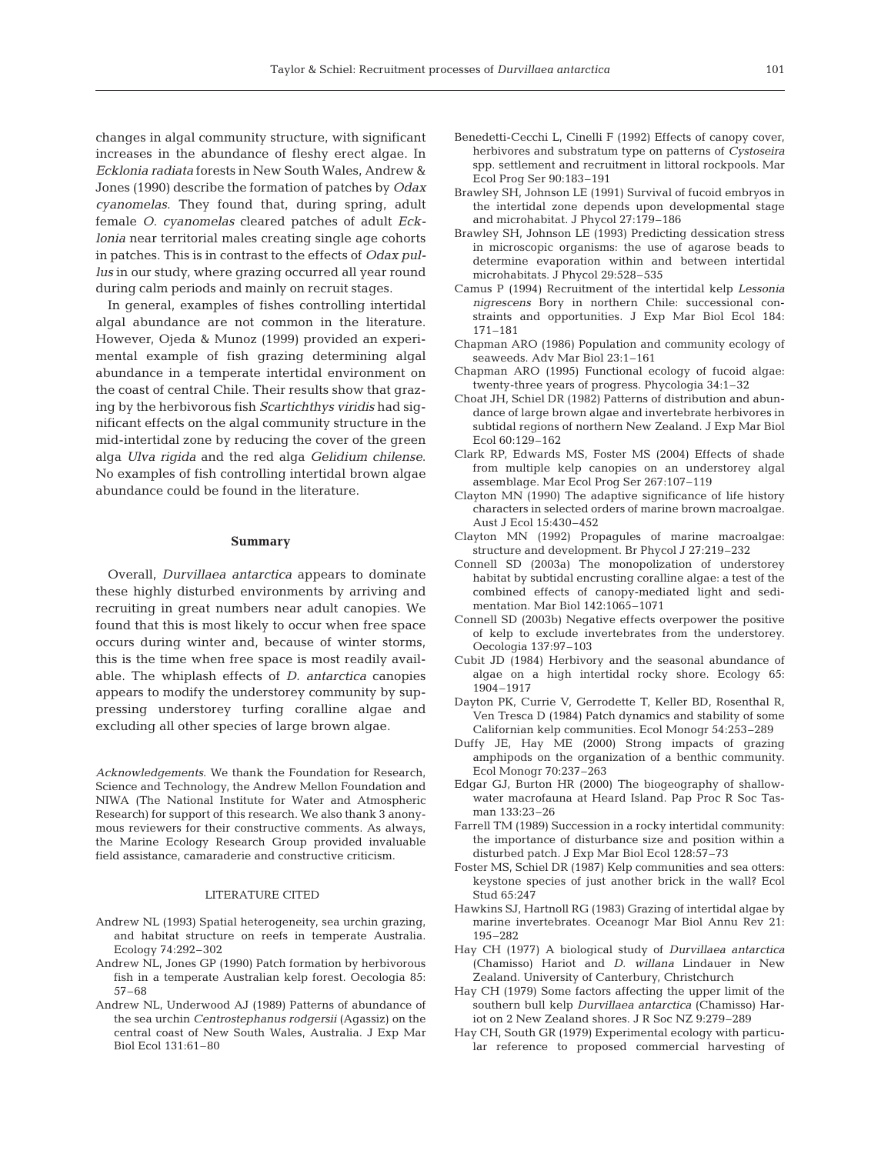changes in algal community structure, with significant increases in the abundance of fleshy erect algae. In *Ecklonia radiata* forests in New South Wales, Andrew & Jones (1990) describe the formation of patches by *Odax cyanomelas*. They found that, during spring, adult female *O. cyanomelas* cleared patches of adult *Ecklonia* near territorial males creating single age cohorts in patches. This is in contrast to the effects of *Odax pullus* in our study, where grazing occurred all year round during calm periods and mainly on recruit stages.

In general, examples of fishes controlling intertidal algal abundance are not common in the literature. However, Ojeda & Munoz (1999) provided an experimental example of fish grazing determining algal abundance in a temperate intertidal environment on the coast of central Chile. Their results show that grazing by the herbivorous fish *Scartichthys viridis* had significant effects on the algal community structure in the mid-intertidal zone by reducing the cover of the green alga *Ulva rigida* and the red alga *Gelidium chilense*. No examples of fish controlling intertidal brown algae abundance could be found in the literature.

#### **Summary**

Overall, *Durvillaea antarctica* appears to dominate these highly disturbed environments by arriving and recruiting in great numbers near adult canopies. We found that this is most likely to occur when free space occurs during winter and, because of winter storms, this is the time when free space is most readily available. The whiplash effects of *D. antarctica* canopies appears to modify the understorey community by suppressing understorey turfing coralline algae and excluding all other species of large brown algae.

*Acknowledgements*. We thank the Foundation for Research, Science and Technology, the Andrew Mellon Foundation and NIWA (The National Institute for Water and Atmospheric Research) for support of this research. We also thank 3 anonymous reviewers for their constructive comments. As always, the Marine Ecology Research Group provided invaluable field assistance, camaraderie and constructive criticism.

## LITERATURE CITED

- Andrew NL (1993) Spatial heterogeneity, sea urchin grazing, and habitat structure on reefs in temperate Australia. Ecology 74:292–302
- Andrew NL, Jones GP (1990) Patch formation by herbivorous fish in a temperate Australian kelp forest. Oecologia 85: 57–68
- Andrew NL, Underwood AJ (1989) Patterns of abundance of the sea urchin *Centrostephanus rodgersii* (Agassiz) on the central coast of New South Wales, Australia. J Exp Mar Biol Ecol 131:61–80
- Benedetti-Cecchi L, Cinelli F (1992) Effects of canopy cover, herbivores and substratum type on patterns of *Cystoseira* spp. settlement and recruitment in littoral rockpools. Mar Ecol Prog Ser 90:183–191
- Brawley SH, Johnson LE (1991) Survival of fucoid embryos in the intertidal zone depends upon developmental stage and microhabitat. J Phycol 27:179–186
- Brawley SH, Johnson LE (1993) Predicting dessication stress in microscopic organisms: the use of agarose beads to determine evaporation within and between intertidal microhabitats. J Phycol 29:528–535
- Camus P (1994) Recruitment of the intertidal kelp *Lessonia nigrescens* Bory in northern Chile: successional constraints and opportunities. J Exp Mar Biol Ecol 184: 171–181
- Chapman ARO (1986) Population and community ecology of seaweeds. Adv Mar Biol 23:1–161
- Chapman ARO (1995) Functional ecology of fucoid algae: twenty-three years of progress. Phycologia 34:1–32
- Choat JH, Schiel DR (1982) Patterns of distribution and abundance of large brown algae and invertebrate herbivores in subtidal regions of northern New Zealand. J Exp Mar Biol Ecol 60:129–162
- Clark RP, Edwards MS, Foster MS (2004) Effects of shade from multiple kelp canopies on an understorey algal assemblage. Mar Ecol Prog Ser 267:107–119
- Clayton MN (1990) The adaptive significance of life history characters in selected orders of marine brown macroalgae. Aust J Ecol 15:430–452
- Clayton MN (1992) Propagules of marine macroalgae: structure and development. Br Phycol J 27:219–232
- Connell SD (2003a) The monopolization of understorey habitat by subtidal encrusting coralline algae: a test of the combined effects of canopy-mediated light and sedimentation. Mar Biol 142:1065–1071
- Connell SD (2003b) Negative effects overpower the positive of kelp to exclude invertebrates from the understorey. Oecologia 137:97–103
- Cubit JD (1984) Herbivory and the seasonal abundance of algae on a high intertidal rocky shore. Ecology 65: 1904–1917
- Dayton PK, Currie V, Gerrodette T, Keller BD, Rosenthal R, Ven Tresca D (1984) Patch dynamics and stability of some Californian kelp communities. Ecol Monogr 54:253–289
- Duffy JE, Hay ME (2000) Strong impacts of grazing amphipods on the organization of a benthic community. Ecol Monogr 70:237–263
- Edgar GJ, Burton HR (2000) The biogeography of shallowwater macrofauna at Heard Island. Pap Proc R Soc Tasman 133:23–26
- Farrell TM (1989) Succession in a rocky intertidal community: the importance of disturbance size and position within a disturbed patch. J Exp Mar Biol Ecol 128:57–73
- Foster MS, Schiel DR (1987) Kelp communities and sea otters: keystone species of just another brick in the wall? Ecol Stud 65:247
- Hawkins SJ, Hartnoll RG (1983) Grazing of intertidal algae by marine invertebrates. Oceanogr Mar Biol Annu Rev 21: 195–282
- Hay CH (1977) A biological study of *Durvillaea antarctica* (Chamisso) Hariot and *D. willana* Lindauer in New Zealand. University of Canterbury, Christchurch
- Hay CH (1979) Some factors affecting the upper limit of the southern bull kelp *Durvillaea antarctica* (Chamisso) Hariot on 2 New Zealand shores. J R Soc NZ 9:279–289
- Hay CH, South GR (1979) Experimental ecology with particular reference to proposed commercial harvesting of